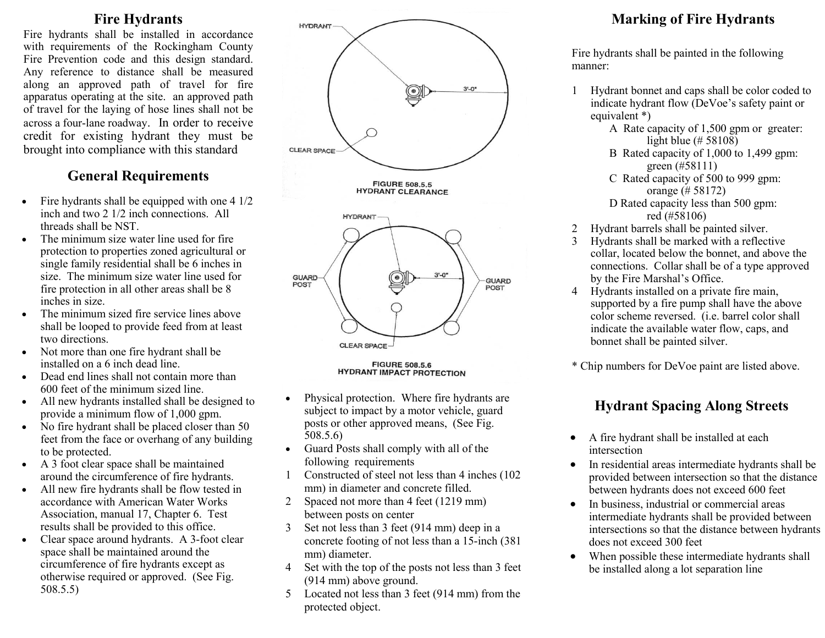#### **Fire Hydrants**

Fire hydrants shall be installed in accordance with requirements of the Rockingham County Fire Prevention code and this design standard. Any reference to distance shall be measured along an approved path of travel for fire apparatus operating at the site. an approved path of travel for the laying of hose lines shall not be across a four-lane roadway. In order to receive credit for existing hydrant they must be brought into compliance with this standard

### **General Requirements**

- $\bullet$  Fire hydrants shall be equipped with one 4 1/2 inch and two 2 1/2 inch connections. All threads shall be NST.
- The minimum size water line used for fire protection to properties zoned agricultural or single family residential shall be 6 inches in size. The minimum size water line used for fire protection in all other areas shall be 8 inches in size.
- The minimum sized fire service lines above shall be looped to provide feed from at least two directions.
- Not more than one fire hydrant shall be installed on a 6 inch dead line.
- Dead end lines shall not contain more than 600 feet of the minimum sized line.
- All new hydrants installed shall be designed to provide a minimum flow of 1,000 gpm.
- No fire hydrant shall be placed closer than 50 feet from the face or overhang of any building to be protected.
- A 3 foot clear space shall be maintained around the circumference of fire hydrants.
- All new fire hydrants shall be flow tested in accordance with American Water Works Association, manual 17, Chapter 6. Test results shall be provided to this office.
- Clear space around hydrants. A 3-foot clear space shall be maintained around the circumference of fire hydrants except as otherwise required or approved. (See Fig. 508.5.5)



- Physical protection. Where fire hydrants are subject to impact by a motor vehicle, guard posts or other approved means, (See Fig. 508.5.6)
- Guard Posts shall comply with all of the following requirements
- 1 Constructed of steel not less than 4 inches (102 mm) in diameter and concrete filled.
- 2 Spaced not more than 4 feet (1219 mm) between posts on center
- 3 Set not less than 3 feet (914 mm) deep in a concrete footing of not less than a 15-inch (381 mm) diameter.
- 4 Set with the top of the posts not less than 3 feet (914 mm) above ground.
- 5 Located not less than 3 feet (914 mm) from the protected object.

## **Marking of Fire Hydrants**

Fire hydrants shall be painted in the following manner:

- 1 Hydrant bonnet and caps shall be color coded to indicate hydrant flow (DeVoe's safety paint or equivalent \*)
	- A Rate capacity of 1,500 gpm or greater: light blue (# 58108)
	- B Rated capacity of 1,000 to 1,499 gpm: green (#58111)
	- C Rated capacity of 500 to 999 gpm: orange (# 58172) D Rated capacity less than 500 gpm:
		- red (#58106)
- 2 Hydrant barrels shall be painted silver.
- 3 Hydrants shall be marked with a reflective collar, located below the bonnet, and above the connections. Collar shall be of a type approved by the Fire Marshal's Office.
- 4 Hydrants installed on a private fire main, supported by a fire pump shall have the above color scheme reversed. (i.e. barrel color shall indicate the available water flow, caps, and bonnet shall be painted silver.
- \* Chip numbers for DeVoe paint are listed above.

## **Hydrant Spacing Along Streets**

- A fire hydrant shall be installed at each intersection
- In residential areas intermediate hydrants shall be provided between intersection so that the distance between hydrants does not exceed 600 feet
- In business, industrial or commercial areas intermediate hydrants shall be provided between intersections so that the distance between hydrants does not exceed 300 feet
- When possible these intermediate hydrants shall be installed along a lot separation line